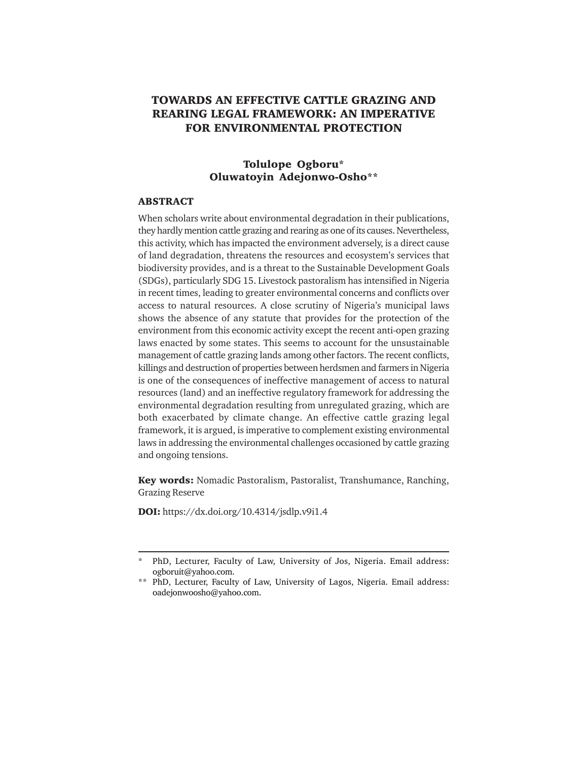# **TOWARDS AN EFFECTIVE CATTLE GRAZING AND REARING LEGAL FRAMEWORK: AN IMPERATIVE FOR ENVIRONMENTAL PROTECTION**

# **Tolulope Ogboru\* Oluwatoyin Adejonwo-Osho\*\***

### **ABSTRACT**

When scholars write about environmental degradation in their publications, they hardly mention cattle grazing and rearing as one of its causes. Nevertheless, this activity, which has impacted the environment adversely, is a direct cause of land degradation, threatens the resources and ecosystem's services that biodiversity provides, and is a threat to the Sustainable Development Goals (SDGs), particularly SDG 15. Livestock pastoralism has intensified in Nigeria in recent times, leading to greater environmental concerns and conflicts over access to natural resources. A close scrutiny of Nigeria's municipal laws shows the absence of any statute that provides for the protection of the environment from this economic activity except the recent anti-open grazing laws enacted by some states. This seems to account for the unsustainable management of cattle grazing lands among other factors. The recent conflicts, killings and destruction of properties between herdsmen and farmers in Nigeria is one of the consequences of ineffective management of access to natural resources (land) and an ineffective regulatory framework for addressing the environmental degradation resulting from unregulated grazing, which are both exacerbated by climate change. An effective cattle grazing legal framework, it is argued, is imperative to complement existing environmental laws in addressing the environmental challenges occasioned by cattle grazing and ongoing tensions.

**Key words:** Nomadic Pastoralism, Pastoralist, Transhumance, Ranching, Grazing Reserve

**DOI:** https://dx.doi.org/10.4314/jsdlp.v9i1.4

PhD, Lecturer, Faculty of Law, University of Jos, Nigeria. Email address: ogboruit@yahoo.com.

<sup>\*\*</sup> PhD, Lecturer, Faculty of Law, University of Lagos, Nigeria. Email address: oadejonwoosho@yahoo.com.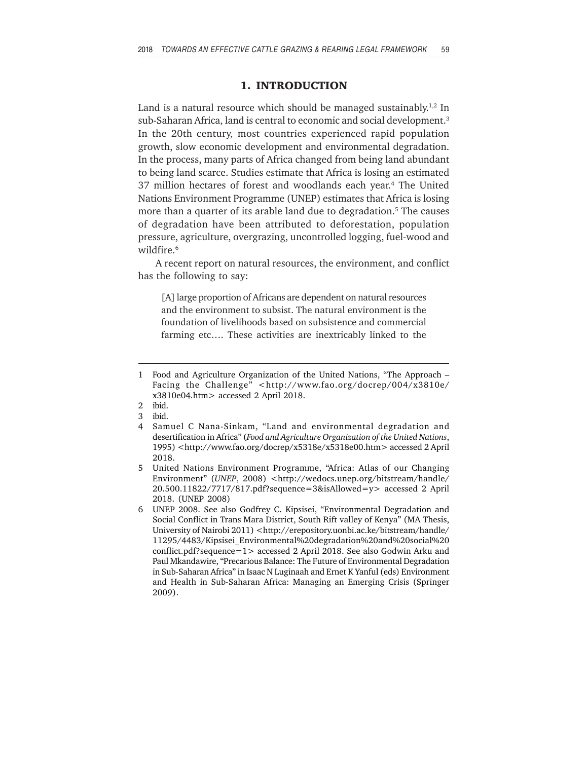## **1. INTRODUCTION**

Land is a natural resource which should be managed sustainably.<sup>1,2</sup> In sub-Saharan Africa, land is central to economic and social development.<sup>3</sup> In the 20th century, most countries experienced rapid population growth, slow economic development and environmental degradation. In the process, many parts of Africa changed from being land abundant to being land scarce. Studies estimate that Africa is losing an estimated 37 million hectares of forest and woodlands each year.4 The United Nations Environment Programme (UNEP) estimates that Africa is losing more than a quarter of its arable land due to degradation.<sup>5</sup> The causes of degradation have been attributed to deforestation, population pressure, agriculture, overgrazing, uncontrolled logging, fuel-wood and wildfire.<sup>6</sup>

A recent report on natural resources, the environment, and conflict has the following to say:

[A] large proportion of Africans are dependent on natural resources and the environment to subsist. The natural environment is the foundation of livelihoods based on subsistence and commercial farming etc…. These activities are inextricably linked to the

<sup>1</sup> Food and Agriculture Organization of the United Nations, "The Approach – Facing the Challenge" <http://www.fao.org/docrep/004/x3810e/ x3810e04.htm> accessed 2 April 2018.

<sup>2</sup> ibid.

<sup>3</sup> ibid.

<sup>4</sup> Samuel C Nana-Sinkam, "Land and environmental degradation and desertification in Africa" (*Food and Agriculture Organization of the United Nations*, 1995) <http://www.fao.org/docrep/x5318e/x5318e00.htm> accessed 2 April 2018.

<sup>5</sup> United Nations Environment Programme, "Africa: Atlas of our Changing Environment" (*UNEP*, 2008) <http://wedocs.unep.org/bitstream/handle/ 20.500.11822/7717/817.pdf?sequence=3&isAllowed=y> accessed 2 April 2018. (UNEP 2008)

<sup>6</sup> UNEP 2008. See also Godfrey C. Kipsisei, "Environmental Degradation and Social Conflict in Trans Mara District, South Rift valley of Kenya" (MA Thesis, University of Nairobi 2011) <http://erepository.uonbi.ac.ke/bitstream/handle/ 11295/4483/Kipsisei\_Environmental%20degradation%20and%20social%20 conflict.pdf?sequence=1> accessed 2 April 2018. See also Godwin Arku and Paul Mkandawire, "Precarious Balance: The Future of Environmental Degradation in Sub-Saharan Africa" in Isaac N Luginaah and Ernet K Yanful (eds) Environment and Health in Sub-Saharan Africa: Managing an Emerging Crisis (Springer 2009).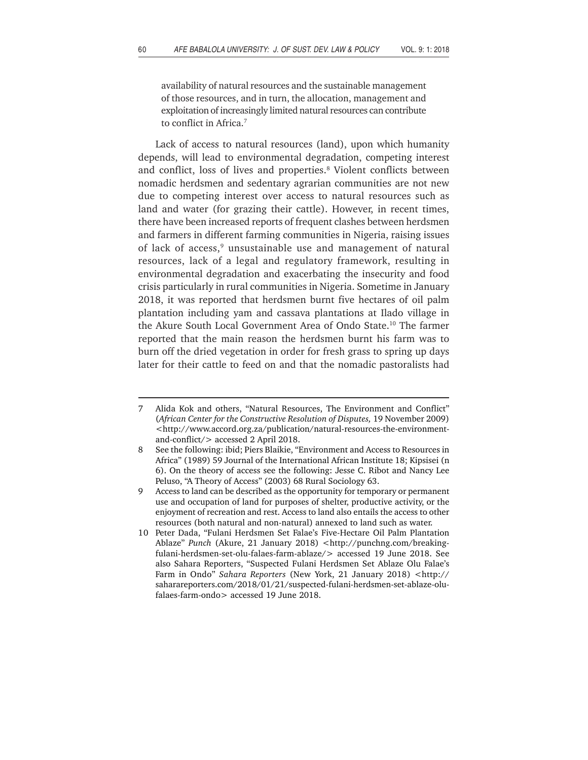availability of natural resources and the sustainable management of those resources, and in turn, the allocation, management and exploitation of increasingly limited natural resources can contribute to conflict in Africa.7

Lack of access to natural resources (land), upon which humanity depends, will lead to environmental degradation, competing interest and conflict, loss of lives and properties.<sup>8</sup> Violent conflicts between nomadic herdsmen and sedentary agrarian communities are not new due to competing interest over access to natural resources such as land and water (for grazing their cattle). However, in recent times, there have been increased reports of frequent clashes between herdsmen and farmers in different farming communities in Nigeria, raising issues of lack of access,<sup>9</sup> unsustainable use and management of natural resources, lack of a legal and regulatory framework, resulting in environmental degradation and exacerbating the insecurity and food crisis particularly in rural communities in Nigeria. Sometime in January 2018, it was reported that herdsmen burnt five hectares of oil palm plantation including yam and cassava plantations at Ilado village in the Akure South Local Government Area of Ondo State.<sup>10</sup> The farmer reported that the main reason the herdsmen burnt his farm was to burn off the dried vegetation in order for fresh grass to spring up days later for their cattle to feed on and that the nomadic pastoralists had

<sup>7</sup> Alida Kok and others, "Natural Resources, The Environment and Conflict" (*African Center for the Constructive Resolution of Disputes,* 19 November 2009) <http://www.accord.org.za/publication/natural-resources-the-environmentand-conflict/> accessed 2 April 2018.

<sup>8</sup> See the following: ibid; Piers Blaikie, "Environment and Access to Resources in Africa" (1989) 59 Journal of the International African Institute 18; Kipsisei (n 6). On the theory of access see the following: Jesse C. Ribot and Nancy Lee Peluso, "A Theory of Access" (2003) 68 Rural Sociology 63.

<sup>9</sup> Access to land can be described as the opportunity for temporary or permanent use and occupation of land for purposes of shelter, productive activity, or the enjoyment of recreation and rest. Access to land also entails the access to other resources (both natural and non-natural) annexed to land such as water.

<sup>10</sup> Peter Dada, "Fulani Herdsmen Set Falae's Five-Hectare Oil Palm Plantation Ablaze" Punch (Akure, 21 January 2018) <http://punchng.com/breakingfulani-herdsmen-set-olu-falaes-farm-ablaze/> accessed 19 June 2018. See also Sahara Reporters, "Suspected Fulani Herdsmen Set Ablaze Olu Falae's Farm in Ondo" *Sahara Reporters* (New York, 21 January 2018) <http:// saharareporters.com/2018/01/21/suspected-fulani-herdsmen-set-ablaze-olufalaes-farm-ondo> accessed 19 June 2018.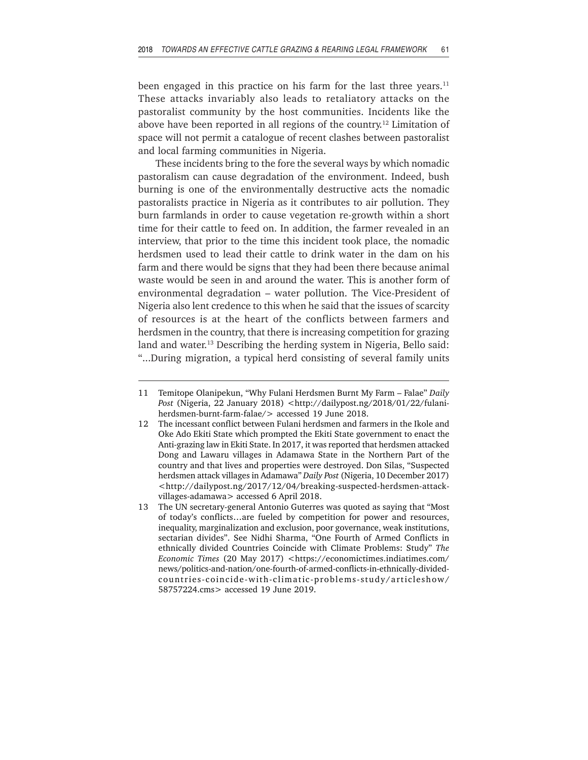been engaged in this practice on his farm for the last three years.<sup>11</sup> These attacks invariably also leads to retaliatory attacks on the pastoralist community by the host communities. Incidents like the above have been reported in all regions of the country.<sup>12</sup> Limitation of space will not permit a catalogue of recent clashes between pastoralist and local farming communities in Nigeria.

These incidents bring to the fore the several ways by which nomadic pastoralism can cause degradation of the environment. Indeed, bush burning is one of the environmentally destructive acts the nomadic pastoralists practice in Nigeria as it contributes to air pollution. They burn farmlands in order to cause vegetation re-growth within a short time for their cattle to feed on. In addition, the farmer revealed in an interview, that prior to the time this incident took place, the nomadic herdsmen used to lead their cattle to drink water in the dam on his farm and there would be signs that they had been there because animal waste would be seen in and around the water. This is another form of environmental degradation – water pollution. The Vice-President of Nigeria also lent credence to this when he said that the issues of scarcity of resources is at the heart of the conflicts between farmers and herdsmen in the country, that there is increasing competition for grazing land and water.<sup>13</sup> Describing the herding system in Nigeria, Bello said: "...During migration, a typical herd consisting of several family units

<sup>11</sup> Temitope Olanipekun, "Why Fulani Herdsmen Burnt My Farm – Falae" *Daily Post* (Nigeria, 22 January 2018) <http://dailypost.ng/2018/01/22/fulaniherdsmen-burnt-farm-falae/> accessed 19 June 2018.

<sup>12</sup> The incessant conflict between Fulani herdsmen and farmers in the Ikole and Oke Ado Ekiti State which prompted the Ekiti State government to enact the Anti-grazing law in Ekiti State. In 2017, it was reported that herdsmen attacked Dong and Lawaru villages in Adamawa State in the Northern Part of the country and that lives and properties were destroyed. Don Silas, "Suspected herdsmen attack villages in Adamawa" *Daily Post* (Nigeria, 10 December 2017) <http://dailypost.ng/2017/12/04/breaking-suspected-herdsmen-attackvillages-adamawa> accessed 6 April 2018.

<sup>13</sup> The UN secretary-general Antonio Guterres was quoted as saying that "Most of today's conflicts…are fueled by competition for power and resources, inequality, marginalization and exclusion, poor governance, weak institutions, sectarian divides". See Nidhi Sharma, "One Fourth of Armed Conflicts in ethnically divided Countries Coincide with Climate Problems: Study" *The Economic Times* (20 May 2017) <https://economictimes.indiatimes.com/ news/politics-and-nation/one-fourth-of-armed-conflicts-in-ethnically-dividedcountries-coincide-with-climatic-problems-study/articleshow/ 58757224.cms> accessed 19 June 2019.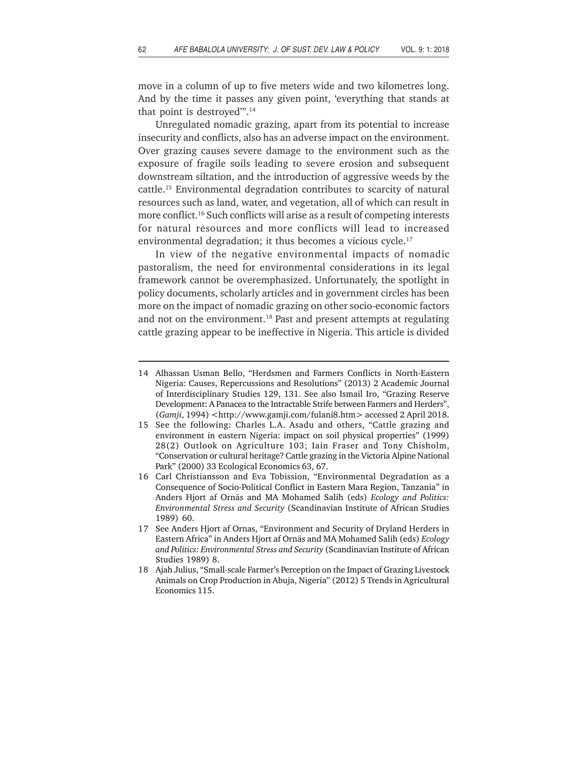move in a column of up to five meters wide and two kilometres long. And by the time it passes any given point, 'everything that stands at that point is destroyed'".14

Unregulated nomadic grazing, apart from its potential to increase insecurity and conflicts, also has an adverse impact on the environment. Over grazing causes severe damage to the environment such as the exposure of fragile soils leading to severe erosion and subsequent downstream siltation, and the introduction of aggressive weeds by the cattle.15 Environmental degradation contributes to scarcity of natural resources such as land, water, and vegetation, all of which can result in more conflict.16 Such conflicts will arise as a result of competing interests for natural resources and more conflicts will lead to increased environmental degradation; it thus becomes a vicious cycle.<sup>17</sup>

In view of the negative environmental impacts of nomadic pastoralism, the need for environmental considerations in its legal framework cannot be overemphasized. Unfortunately, the spotlight in policy documents, scholarly articles and in government circles has been more on the impact of nomadic grazing on other socio-economic factors and not on the environment.<sup>18</sup> Past and present attempts at regulating cattle grazing appear to be ineffective in Nigeria. This article is divided

<sup>14</sup> Alhassan Usman Bello, "Herdsmen and Farmers Conflicts in North-Eastern Nigeria: Causes, Repercussions and Resolutions" (2013) 2 Academic Journal of Interdisciplinary Studies 129, 131. See also Ismail Iro, "Grazing Reserve Development: A Panacea to the Intractable Strife between Farmers and Herders", (Gamji, 1994) <http://www.gamji.com/fulani8.htm> accessed 2 April 2018.

<sup>15</sup> See the following: Charles L.A. Asadu and others, "Cattle grazing and environment in eastern Nigeria: impact on soil physical properties" (1999) 28(2) Outlook on Agriculture 103; Iain Fraser and Tony Chisholm, "Conservation or cultural heritage? Cattle grazing in the Victoria Alpine National Park" (2000) 33 Ecological Economics 63, 67.

<sup>16</sup> Carl Christiansson and Eva Tobission, "Environmental Degradation as a Consequence of Socio-Political Conflict in Eastern Mara Region, Tanzania" in Anders Hjort af Ornäs and MA Mohamed Salih (eds) *Ecology and Politics: Environmental Stress and Security* (Scandinavian Institute of African Studies 1989) 60.

<sup>17</sup> See Anders Hjort af Ornas, "Environment and Security of Dryland Herders in Eastern Africa" in Anders Hjort af Ornäs and MA Mohamed Salih (eds) *Ecology and Politics: Environmental Stress and Security* (Scandinavian Institute of African Studies 1989) 8.

<sup>18</sup> Ajah Julius, "Small-scale Farmer's Perception on the Impact of Grazing Livestock Animals on Crop Production in Abuja, Nigeria" (2012) 5 Trends in Agricultural Economics 115.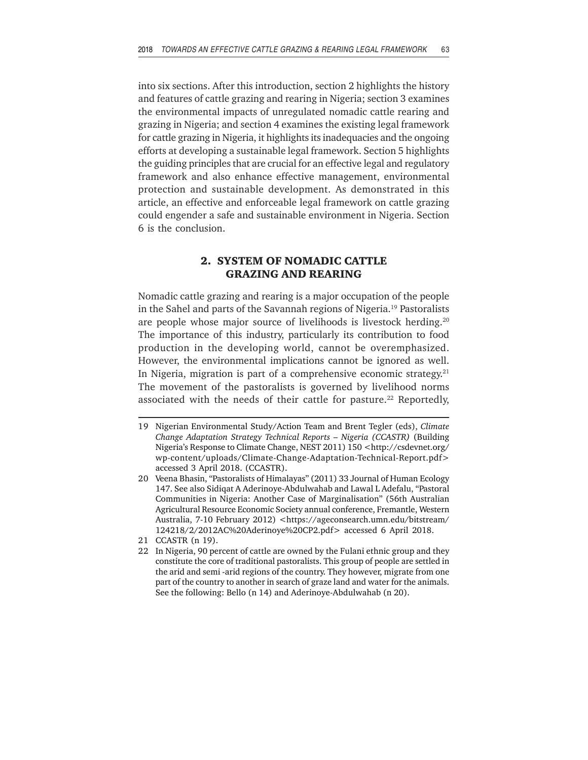into six sections. After this introduction, section 2 highlights the history and features of cattle grazing and rearing in Nigeria; section 3 examines the environmental impacts of unregulated nomadic cattle rearing and grazing in Nigeria; and section 4 examines the existing legal framework for cattle grazing in Nigeria, it highlights its inadequacies and the ongoing efforts at developing a sustainable legal framework. Section 5 highlights the guiding principles that are crucial for an effective legal and regulatory framework and also enhance effective management, environmental protection and sustainable development. As demonstrated in this article, an effective and enforceable legal framework on cattle grazing could engender a safe and sustainable environment in Nigeria. Section 6 is the conclusion.

## **2. SYSTEM OF NOMADIC CATTLE GRAZING AND REARING**

Nomadic cattle grazing and rearing is a major occupation of the people in the Sahel and parts of the Savannah regions of Nigeria.19 Pastoralists are people whose major source of livelihoods is livestock herding.<sup>20</sup> The importance of this industry, particularly its contribution to food production in the developing world, cannot be overemphasized. However, the environmental implications cannot be ignored as well. In Nigeria, migration is part of a comprehensive economic strategy. $21$ The movement of the pastoralists is governed by livelihood norms associated with the needs of their cattle for pasture.<sup>22</sup> Reportedly,

<sup>19</sup> Nigerian Environmental Study/Action Team and Brent Tegler (eds), *Climate Change Adaptation Strategy Technical Reports – Nigeria (CCASTR)* (Building Nigeria's Response to Climate Change, NEST 2011) 150 <http://csdevnet.org/ wp-content/uploads/Climate-Change-Adaptation-Technical-Report.pdf> accessed 3 April 2018. (CCASTR).

<sup>20</sup> Veena Bhasin, "Pastoralists of Himalayas" (2011) 33 Journal of Human Ecology 147. See also Sidiqat A Aderinoye-Abdulwahab and Lawal L Adefalu, "Pastoral Communities in Nigeria: Another Case of Marginalisation" (56th Australian Agricultural Resource Economic Society annual conference, Fremantle, Western Australia, 7-10 February 2012) <https://ageconsearch.umn.edu/bitstream/ 124218/2/2012AC%20Aderinoye%20CP2.pdf> accessed 6 April 2018.

<sup>21</sup> CCASTR (n 19).

<sup>22</sup> In Nigeria, 90 percent of cattle are owned by the Fulani ethnic group and they constitute the core of traditional pastoralists. This group of people are settled in the arid and semi -arid regions of the country. They however, migrate from one part of the country to another in search of graze land and water for the animals. See the following: Bello (n 14) and Aderinoye-Abdulwahab (n 20).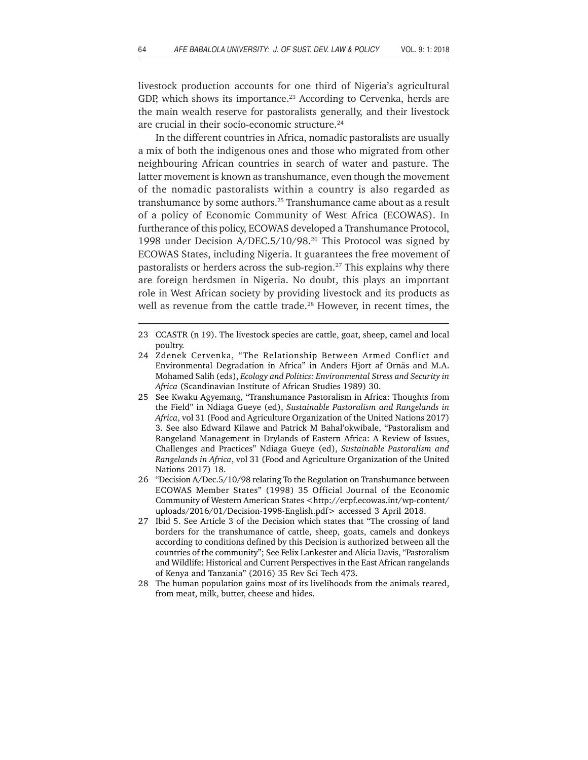livestock production accounts for one third of Nigeria's agricultural GDP, which shows its importance.<sup>23</sup> According to Cervenka, herds are the main wealth reserve for pastoralists generally, and their livestock are crucial in their socio-economic structure.24

In the different countries in Africa, nomadic pastoralists are usually a mix of both the indigenous ones and those who migrated from other neighbouring African countries in search of water and pasture. The latter movement is known as transhumance, even though the movement of the nomadic pastoralists within a country is also regarded as transhumance by some authors.<sup>25</sup> Transhumance came about as a result of a policy of Economic Community of West Africa (ECOWAS). In furtherance of this policy, ECOWAS developed a Transhumance Protocol, 1998 under Decision A/DEC.5/10/98.26 This Protocol was signed by ECOWAS States, including Nigeria. It guarantees the free movement of pastoralists or herders across the sub-region.27 This explains why there are foreign herdsmen in Nigeria. No doubt, this plays an important role in West African society by providing livestock and its products as well as revenue from the cattle trade.<sup>28</sup> However, in recent times, the

- 24 Zdenek Cervenka, "The Relationship Between Armed Conflict and Environmental Degradation in Africa" in Anders Hjort af Ornäs and M.A. Mohamed Salih (eds), *Ecology and Politics: Environmental Stress and Security in Africa* (Scandinavian Institute of African Studies 1989) 30.
- 25 See Kwaku Agyemang, "Transhumance Pastoralism in Africa: Thoughts from the Field" in Ndiaga Gueye (ed), *Sustainable Pastoralism and Rangelands in Africa*, vol 31 (Food and Agriculture Organization of the United Nations 2017) 3. See also Edward Kilawe and Patrick M Bahal'okwibale, "Pastoralism and Rangeland Management in Drylands of Eastern Africa: A Review of Issues, Challenges and Practices" Ndiaga Gueye (ed), *Sustainable Pastoralism and Rangelands in Africa*, vol 31 (Food and Agriculture Organization of the United Nations 2017) 18.
- 26 "Decision A/Dec.5/10/98 relating To the Regulation on Transhumance between ECOWAS Member States" (1998) 35 Official Journal of the Economic Community of Western American States <http://ecpf.ecowas.int/wp-content/ uploads/2016/01/Decision-1998-English.pdf> accessed 3 April 2018.
- 27 Ibid 5. See Article 3 of the Decision which states that "The crossing of land borders for the transhumance of cattle, sheep, goats, camels and donkeys according to conditions defined by this Decision is authorized between all the countries of the community"; See Felix Lankester and Alicia Davis, "Pastoralism and Wildlife: Historical and Current Perspectives in the East African rangelands of Kenya and Tanzania" (2016) 35 Rev Sci Tech 473.
- 28 The human population gains most of its livelihoods from the animals reared, from meat, milk, butter, cheese and hides.

<sup>23</sup> CCASTR (n 19). The livestock species are cattle, goat, sheep, camel and local poultry.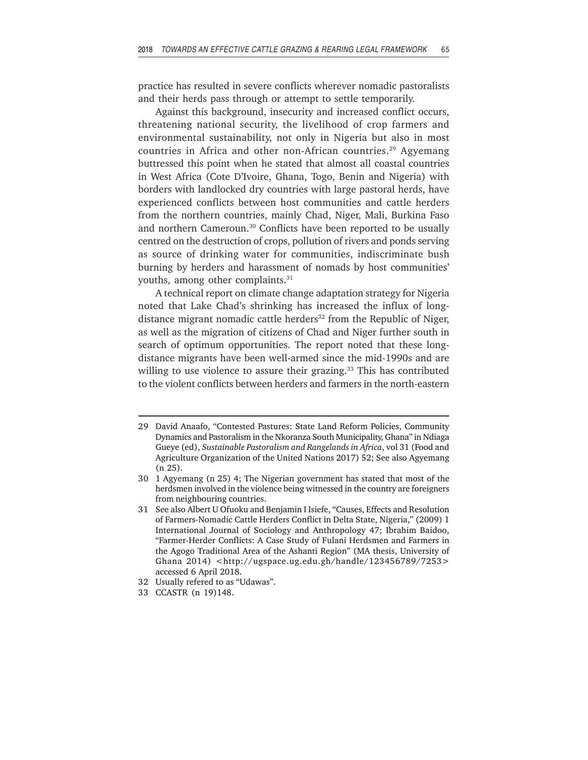practice has resulted in severe conflicts wherever nomadic pastoralists and their herds pass through or attempt to settle temporarily.

Against this background, insecurity and increased conflict occurs, threatening national security, the livelihood of crop farmers and environmental sustainability, not only in Nigeria but also in most countries in Africa and other non-African countries.<sup>29</sup> Agyemang buttressed this point when he stated that almost all coastal countries in West Africa (Cote D'Ivoire, Ghana, Togo, Benin and Nigeria) with borders with landlocked dry countries with large pastoral herds, have experienced conflicts between host communities and cattle herders from the northern countries, mainly Chad, Niger, Mali, Burkina Faso and northern Cameroun.<sup>30</sup> Conflicts have been reported to be usually centred on the destruction of crops, pollution of rivers and ponds serving as source of drinking water for communities, indiscriminate bush burning by herders and harassment of nomads by host communities' youths, among other complaints.<sup>31</sup>

A technical report on climate change adaptation strategy for Nigeria noted that Lake Chad's shrinking has increased the influx of longdistance migrant nomadic cattle herders<sup>32</sup> from the Republic of Niger, as well as the migration of citizens of Chad and Niger further south in search of optimum opportunities. The report noted that these longdistance migrants have been well-armed since the mid-1990s and are willing to use violence to assure their grazing.<sup>33</sup> This has contributed to the violent conflicts between herders and farmers in the north-eastern

- 32 Usually refered to as "Udawas".
- 33 CCASTR (n 19)148.

<sup>29</sup> David Anaafo, "Contested Pastures: State Land Reform Policies, Community Dynamics and Pastoralism in the Nkoranza South Municipality, Ghana" in Ndiaga Gueye (ed), *Sustainable Pastoralism and Rangelands in Africa*, vol 31 (Food and Agriculture Organization of the United Nations 2017) 52; See also Agyemang (n 25).

<sup>30 1</sup> Agyemang (n 25) 4; The Nigerian government has stated that most of the herdsmen involved in the violence being witnessed in the country are foreigners from neighbouring countries.

<sup>31</sup> See also Albert U Ofuoku and Benjamin I Isiefe, "Causes, Effects and Resolution of Farmers-Nomadic Cattle Herders Conflict in Delta State, Nigeria," (2009) 1 International Journal of Sociology and Anthropology 47; Ibrahim Baidoo, "Farmer-Herder Conflicts: A Case Study of Fulani Herdsmen and Farmers in the Agogo Traditional Area of the Ashanti Region" (MA thesis, University of Ghana 2014) <http://ugspace.ug.edu.gh/handle/123456789/7253> accessed 6 April 2018.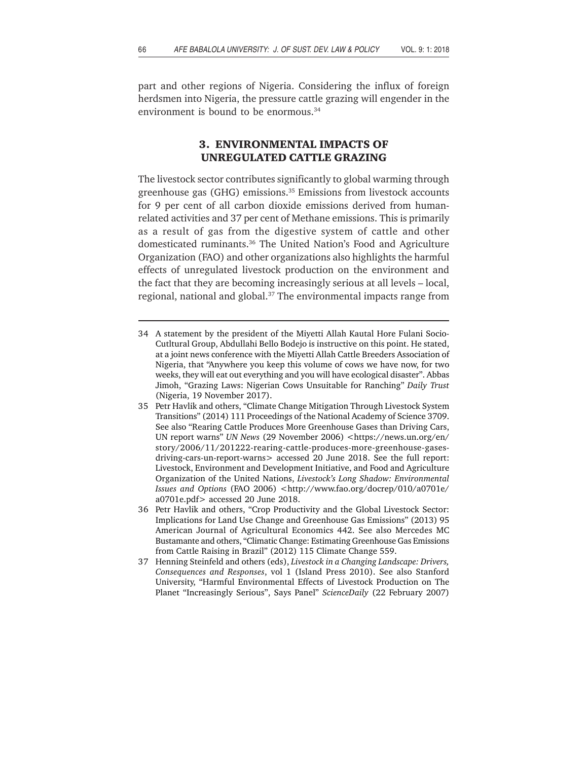part and other regions of Nigeria. Considering the influx of foreign herdsmen into Nigeria, the pressure cattle grazing will engender in the environment is bound to be enormous.<sup>34</sup>

## **3. ENVIRONMENTAL IMPACTS OF UNREGULATED CATTLE GRAZING**

The livestock sector contributes significantly to global warming through greenhouse gas (GHG) emissions.35 Emissions from livestock accounts for 9 per cent of all carbon dioxide emissions derived from humanrelated activities and 37 per cent of Methane emissions. This is primarily as a result of gas from the digestive system of cattle and other domesticated ruminants.36 The United Nation's Food and Agriculture Organization (FAO) and other organizations also highlights the harmful effects of unregulated livestock production on the environment and the fact that they are becoming increasingly serious at all levels – local, regional, national and global.<sup>37</sup> The environmental impacts range from

- 34 A statement by the president of the Miyetti Allah Kautal Hore Fulani Socio-Cutltural Group, Abdullahi Bello Bodejo is instructive on this point. He stated, at a joint news conference with the Miyetti Allah Cattle Breeders Association of Nigeria, that "Anywhere you keep this volume of cows we have now, for two weeks, they will eat out everything and you will have ecological disaster". Abbas Jimoh, "Grazing Laws: Nigerian Cows Unsuitable for Ranching" *Daily Trust* (Nigeria, 19 November 2017).
- 35 Petr Havlik and others, "Climate Change Mitigation Through Livestock System Transitions" (2014) 111 Proceedings of the National Academy of Science 3709. See also "Rearing Cattle Produces More Greenhouse Gases than Driving Cars, UN report warns" *UN News* (29 November 2006) <https://news.un.org/en/ story/2006/11/201222-rearing-cattle-produces-more-greenhouse-gasesdriving-cars-un-report-warns> accessed 20 June 2018. See the full report: Livestock, Environment and Development Initiative, and Food and Agriculture Organization of the United Nations, *Livestock's Long Shadow: Environmental Issues and Options* (FAO 2006) <http://www.fao.org/docrep/010/a0701e/ a0701e.pdf> accessed 20 June 2018.
- 36 Petr Havlik and others, "Crop Productivity and the Global Livestock Sector: Implications for Land Use Change and Greenhouse Gas Emissions" (2013) 95 American Journal of Agricultural Economics 442. See also Mercedes MC Bustamante and others, "Climatic Change: Estimating Greenhouse Gas Emissions from Cattle Raising in Brazil" (2012) 115 Climate Change 559.
- 37 Henning Steinfeld and others (eds), *Livestock in a Changing Landscape: Drivers, Consequences and Responses*, vol 1 (Island Press 2010). See also Stanford University, "Harmful Environmental Effects of Livestock Production on The Planet "Increasingly Serious", Says Panel" *ScienceDaily* (22 February 2007)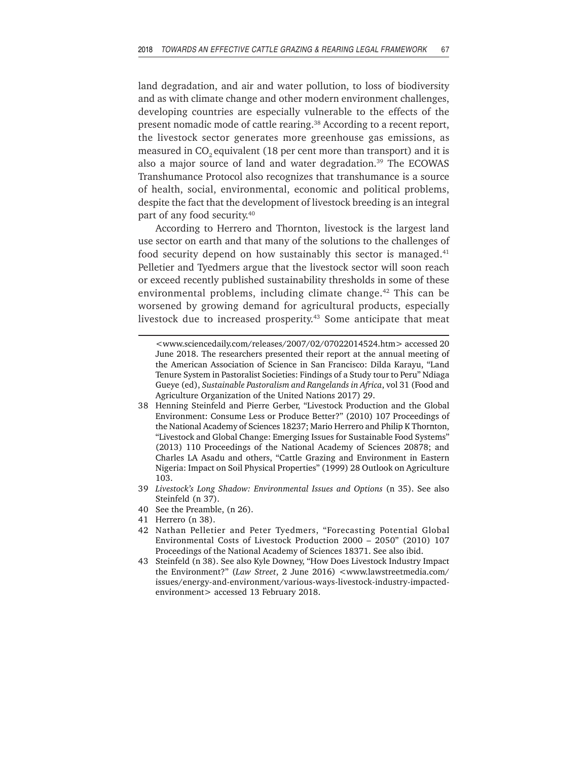land degradation, and air and water pollution, to loss of biodiversity and as with climate change and other modern environment challenges, developing countries are especially vulnerable to the effects of the present nomadic mode of cattle rearing.<sup>38</sup> According to a recent report, the livestock sector generates more greenhouse gas emissions, as measured in CO<sub>2</sub> equivalent (18 per cent more than transport) and it is also a major source of land and water degradation.<sup>39</sup> The ECOWAS Transhumance Protocol also recognizes that transhumance is a source of health, social, environmental, economic and political problems, despite the fact that the development of livestock breeding is an integral part of any food security.40

According to Herrero and Thornton, livestock is the largest land use sector on earth and that many of the solutions to the challenges of food security depend on how sustainably this sector is managed. $41$ Pelletier and Tyedmers argue that the livestock sector will soon reach or exceed recently published sustainability thresholds in some of these environmental problems, including climate change.<sup>42</sup> This can be worsened by growing demand for agricultural products, especially livestock due to increased prosperity.<sup>43</sup> Some anticipate that meat

- 38 Henning Steinfeld and Pierre Gerber, "Livestock Production and the Global Environment: Consume Less or Produce Better?" (2010) 107 Proceedings of the National Academy of Sciences 18237; Mario Herrero and Philip K Thornton, "Livestock and Global Change: Emerging Issues for Sustainable Food Systems" (2013) 110 Proceedings of the National Academy of Sciences 20878; and Charles LA Asadu and others, "Cattle Grazing and Environment in Eastern Nigeria: Impact on Soil Physical Properties" (1999) 28 Outlook on Agriculture 103.
- 39 *Livestock's Long Shadow: Environmental Issues and Options* (n 35). See also Steinfeld (n 37).
- 40 See the Preamble, (n 26).
- 41 Herrero (n 38).
- 42 Nathan Pelletier and Peter Tyedmers, "Forecasting Potential Global Environmental Costs of Livestock Production 2000 – 2050" (2010) 107 Proceedings of the National Academy of Sciences 18371. See also ibid.
- 43 Steinfeld (n 38). See also Kyle Downey, "How Does Livestock Industry Impact the Environment?" (*Law Street*, 2 June 2016) <www.lawstreetmedia.com/ issues/energy-and-environment/various-ways-livestock-industry-impactedenvironment> accessed 13 February 2018.

<sup>&</sup>lt;www.sciencedaily.com/releases/2007/02/07022014524.htm> accessed 20 June 2018. The researchers presented their report at the annual meeting of the American Association of Science in San Francisco: Dilda Karayu, "Land Tenure System in Pastoralist Societies: Findings of a Study tour to Peru" Ndiaga Gueye (ed), *Sustainable Pastoralism and Rangelands in Africa*, vol 31 (Food and Agriculture Organization of the United Nations 2017) 29.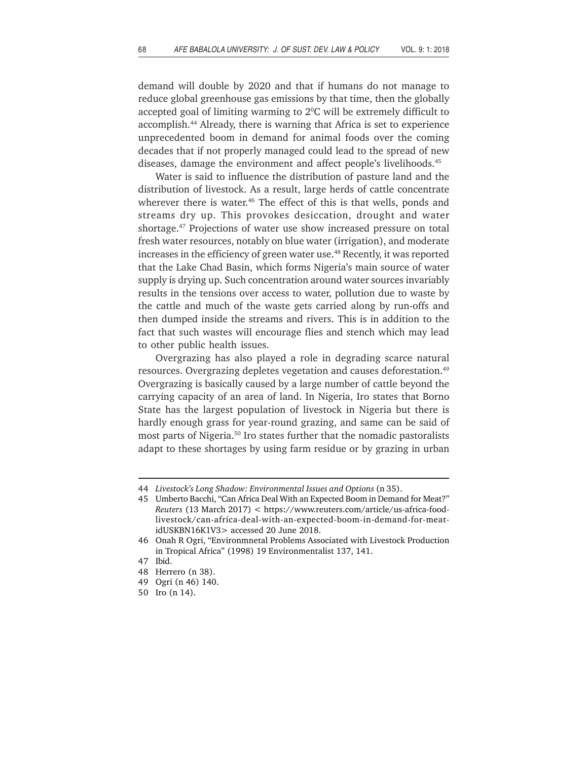demand will double by 2020 and that if humans do not manage to reduce global greenhouse gas emissions by that time, then the globally accepted goal of limiting warming to  $2^{\circ}$ C will be extremely difficult to accomplish.44 Already, there is warning that Africa is set to experience unprecedented boom in demand for animal foods over the coming decades that if not properly managed could lead to the spread of new diseases, damage the environment and affect people's livelihoods.<sup>45</sup>

Water is said to influence the distribution of pasture land and the distribution of livestock. As a result, large herds of cattle concentrate wherever there is water.<sup>46</sup> The effect of this is that wells, ponds and streams dry up. This provokes desiccation, drought and water shortage.47 Projections of water use show increased pressure on total fresh water resources, notably on blue water (irrigation), and moderate increases in the efficiency of green water use.<sup>48</sup> Recently, it was reported that the Lake Chad Basin, which forms Nigeria's main source of water supply is drying up. Such concentration around water sources invariably results in the tensions over access to water, pollution due to waste by the cattle and much of the waste gets carried along by run-offs and then dumped inside the streams and rivers. This is in addition to the fact that such wastes will encourage flies and stench which may lead to other public health issues.

Overgrazing has also played a role in degrading scarce natural resources. Overgrazing depletes vegetation and causes deforestation.<sup>49</sup> Overgrazing is basically caused by a large number of cattle beyond the carrying capacity of an area of land. In Nigeria, Iro states that Borno State has the largest population of livestock in Nigeria but there is hardly enough grass for year-round grazing, and same can be said of most parts of Nigeria.50 Iro states further that the nomadic pastoralists adapt to these shortages by using farm residue or by grazing in urban

<sup>44</sup> *Livestock's Long Shadow: Environmental Issues and Options* (n 35).

<sup>45</sup> Umberto Bacchi, "Can Africa Deal With an Expected Boom in Demand for Meat?" *Reuters* (13 March 2017) < https://www.reuters.com/article/us-africa-foodlivestock/can-africa-deal-with-an-expected-boom-in-demand-for-meatidUSKBN16K1V3> accessed 20 June 2018.

<sup>46</sup> Onah R Ogri, "Environmnetal Problems Associated with Livestock Production in Tropical Africa" (1998) 19 Environmentalist 137, 141.

<sup>47</sup> Ibid.

<sup>48</sup> Herrero (n 38).

<sup>49</sup> Ogri (n 46) 140.

<sup>50</sup> Iro (n 14).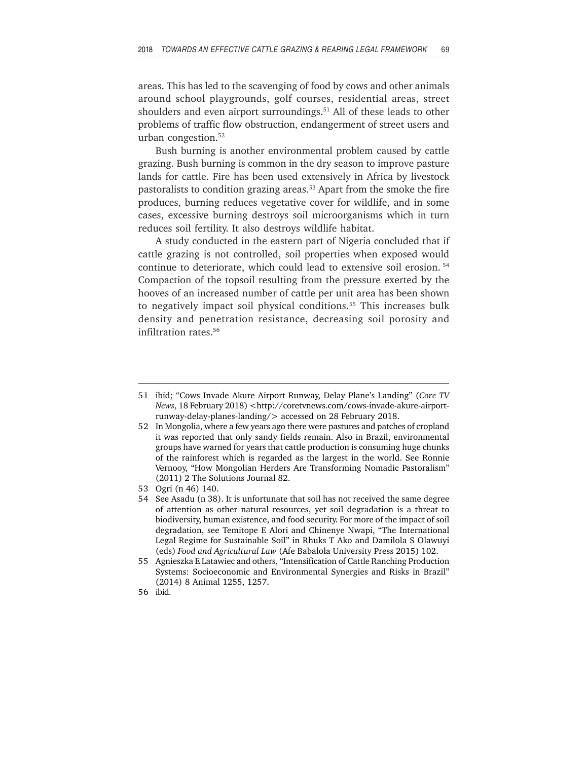areas. This has led to the scavenging of food by cows and other animals around school playgrounds, golf courses, residential areas, street shoulders and even airport surroundings.<sup>51</sup> All of these leads to other problems of traffic flow obstruction, endangerment of street users and urban congestion.52

Bush burning is another environmental problem caused by cattle grazing. Bush burning is common in the dry season to improve pasture lands for cattle. Fire has been used extensively in Africa by livestock pastoralists to condition grazing areas.<sup>53</sup> Apart from the smoke the fire produces, burning reduces vegetative cover for wildlife, and in some cases, excessive burning destroys soil microorganisms which in turn reduces soil fertility. It also destroys wildlife habitat.

A study conducted in the eastern part of Nigeria concluded that if cattle grazing is not controlled, soil properties when exposed would continue to deteriorate, which could lead to extensive soil erosion. 54 Compaction of the topsoil resulting from the pressure exerted by the hooves of an increased number of cattle per unit area has been shown to negatively impact soil physical conditions.<sup>55</sup> This increases bulk density and penetration resistance, decreasing soil porosity and infiltration rates.56

<sup>51</sup> ibid; "Cows Invade Akure Airport Runway, Delay Plane's Landing" (*Core TV News*, 18 February 2018) <http://coretvnews.com/cows-invade-akure-airportrunway-delay-planes-landing/> accessed on 28 February 2018.

<sup>52</sup> In Mongolia, where a few years ago there were pastures and patches of cropland it was reported that only sandy fields remain. Also in Brazil, environmental groups have warned for years that cattle production is consuming huge chunks of the rainforest which is regarded as the largest in the world. See Ronnie Vernooy, "How Mongolian Herders Are Transforming Nomadic Pastoralism" (2011) 2 The Solutions Journal 82.

<sup>53</sup> Ogri (n 46) 140.

<sup>54</sup> See Asadu (n 38). It is unfortunate that soil has not received the same degree of attention as other natural resources, yet soil degradation is a threat to biodiversity, human existence, and food security. For more of the impact of soil degradation, see Temitope E Alori and Chinenye Nwapi, "The International Legal Regime for Sustainable Soil" in Rhuks T Ako and Damilola S Olawuyi (eds) *Food and Agricultural Law* (Afe Babalola University Press 2015) 102.

<sup>55</sup> Agnieszka E Latawiec and others, "Intensification of Cattle Ranching Production Systems: Socioeconomic and Environmental Synergies and Risks in Brazil" (2014) 8 Animal 1255, 1257.

<sup>56</sup> ibid.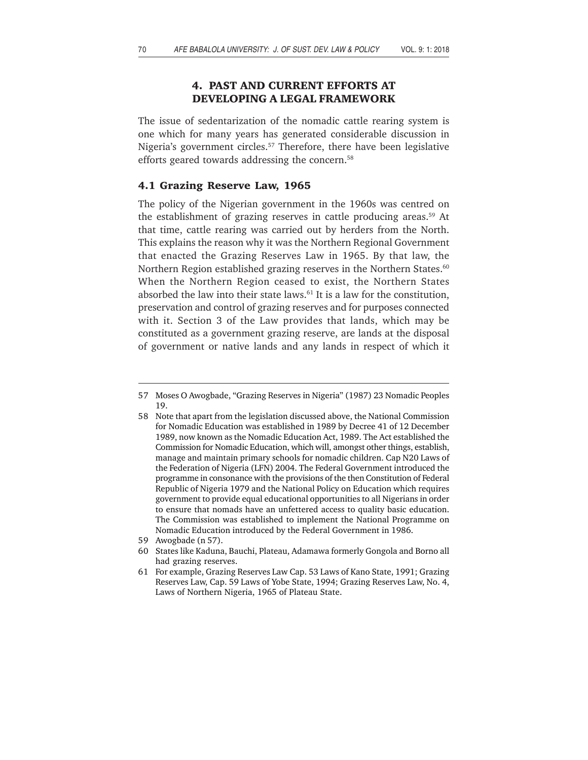# **4. PAST AND CURRENT EFFORTS AT DEVELOPING A LEGAL FRAMEWORK**

The issue of sedentarization of the nomadic cattle rearing system is one which for many years has generated considerable discussion in Nigeria's government circles.<sup>57</sup> Therefore, there have been legislative efforts geared towards addressing the concern.<sup>58</sup>

### **4.1 Grazing Reserve Law, 1965**

The policy of the Nigerian government in the 1960s was centred on the establishment of grazing reserves in cattle producing areas.<sup>59</sup> At that time, cattle rearing was carried out by herders from the North. This explains the reason why it was the Northern Regional Government that enacted the Grazing Reserves Law in 1965. By that law, the Northern Region established grazing reserves in the Northern States.<sup>60</sup> When the Northern Region ceased to exist, the Northern States absorbed the law into their state laws.<sup>61</sup> It is a law for the constitution, preservation and control of grazing reserves and for purposes connected with it. Section 3 of the Law provides that lands, which may be constituted as a government grazing reserve, are lands at the disposal of government or native lands and any lands in respect of which it

<sup>57</sup> Moses O Awogbade, "Grazing Reserves in Nigeria" (1987) 23 Nomadic Peoples 19.

<sup>58</sup> Note that apart from the legislation discussed above, the National Commission for Nomadic Education was established in 1989 by Decree 41 of 12 December 1989, now known as the Nomadic Education Act, 1989. The Act established the Commission for Nomadic Education, which will, amongst other things, establish, manage and maintain primary schools for nomadic children. Cap N20 Laws of the Federation of Nigeria (LFN) 2004. The Federal Government introduced the programme in consonance with the provisions of the then Constitution of Federal Republic of Nigeria 1979 and the National Policy on Education which requires government to provide equal educational opportunities to all Nigerians in order to ensure that nomads have an unfettered access to quality basic education. The Commission was established to implement the National Programme on Nomadic Education introduced by the Federal Government in 1986.

<sup>59</sup> Awogbade (n 57).

<sup>60</sup> States like Kaduna, Bauchi, Plateau, Adamawa formerly Gongola and Borno all had grazing reserves.

<sup>61</sup> For example, Grazing Reserves Law Cap. 53 Laws of Kano State, 1991; Grazing Reserves Law, Cap. 59 Laws of Yobe State, 1994; Grazing Reserves Law, No. 4, Laws of Northern Nigeria, 1965 of Plateau State.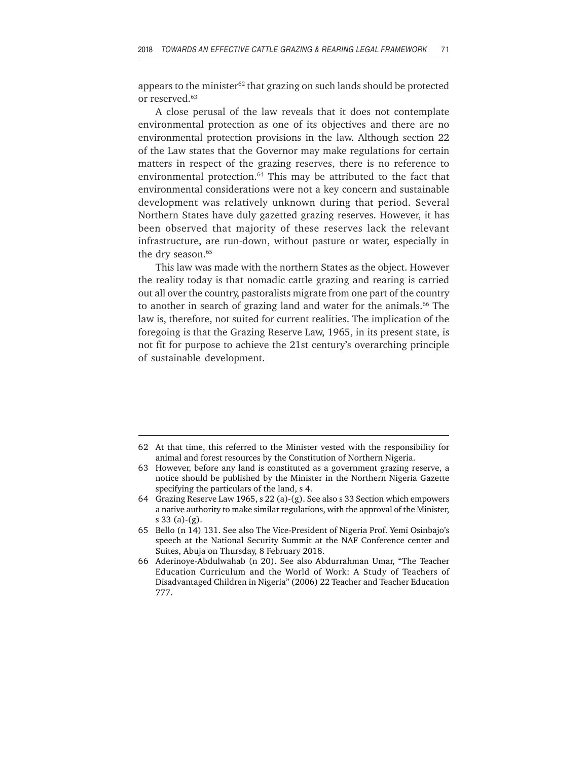appears to the minister $62$  that grazing on such lands should be protected or reserved.<sup>63</sup>

A close perusal of the law reveals that it does not contemplate environmental protection as one of its objectives and there are no environmental protection provisions in the law. Although section 22 of the Law states that the Governor may make regulations for certain matters in respect of the grazing reserves, there is no reference to environmental protection.<sup>64</sup> This may be attributed to the fact that environmental considerations were not a key concern and sustainable development was relatively unknown during that period. Several Northern States have duly gazetted grazing reserves. However, it has been observed that majority of these reserves lack the relevant infrastructure, are run-down, without pasture or water, especially in the dry season.<sup>65</sup>

This law was made with the northern States as the object. However the reality today is that nomadic cattle grazing and rearing is carried out all over the country, pastoralists migrate from one part of the country to another in search of grazing land and water for the animals.<sup>66</sup> The law is, therefore, not suited for current realities. The implication of the foregoing is that the Grazing Reserve Law, 1965, in its present state, is not fit for purpose to achieve the 21st century's overarching principle of sustainable development.

<sup>62</sup> At that time, this referred to the Minister vested with the responsibility for animal and forest resources by the Constitution of Northern Nigeria.

<sup>63</sup> However, before any land is constituted as a government grazing reserve, a notice should be published by the Minister in the Northern Nigeria Gazette specifying the particulars of the land, s 4.

<sup>64</sup> Grazing Reserve Law 1965, s 22 (a)-(g). See also s 33 Section which empowers a native authority to make similar regulations, with the approval of the Minister, s 33 (a)-(g).

<sup>65</sup> Bello (n 14) 131. See also The Vice-President of Nigeria Prof. Yemi Osinbajo's speech at the National Security Summit at the NAF Conference center and Suites, Abuja on Thursday, 8 February 2018.

<sup>66</sup> Aderinoye-Abdulwahab (n 20). See also Abdurrahman Umar, "The Teacher Education Curriculum and the World of Work: A Study of Teachers of Disadvantaged Children in Nigeria" (2006) 22 Teacher and Teacher Education 777.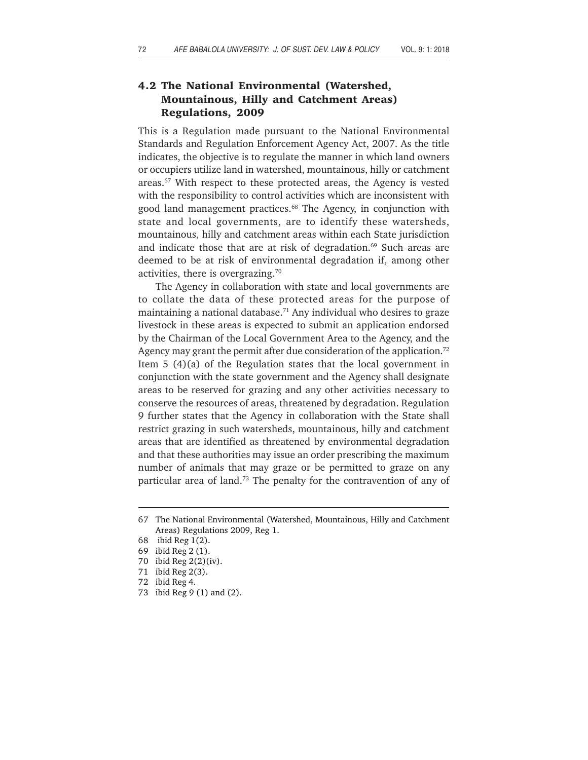# **4.2 The National Environmental (Watershed, Mountainous, Hilly and Catchment Areas) Regulations, 2009**

This is a Regulation made pursuant to the National Environmental Standards and Regulation Enforcement Agency Act, 2007. As the title indicates, the objective is to regulate the manner in which land owners or occupiers utilize land in watershed, mountainous, hilly or catchment areas.<sup>67</sup> With respect to these protected areas, the Agency is vested with the responsibility to control activities which are inconsistent with good land management practices.<sup>68</sup> The Agency, in conjunction with state and local governments, are to identify these watersheds, mountainous, hilly and catchment areas within each State jurisdiction and indicate those that are at risk of degradation. $69$  Such areas are deemed to be at risk of environmental degradation if, among other activities, there is overgrazing.<sup>70</sup>

The Agency in collaboration with state and local governments are to collate the data of these protected areas for the purpose of maintaining a national database.71 Any individual who desires to graze livestock in these areas is expected to submit an application endorsed by the Chairman of the Local Government Area to the Agency, and the Agency may grant the permit after due consideration of the application.<sup>72</sup> Item 5 (4)(a) of the Regulation states that the local government in conjunction with the state government and the Agency shall designate areas to be reserved for grazing and any other activities necessary to conserve the resources of areas, threatened by degradation. Regulation 9 further states that the Agency in collaboration with the State shall restrict grazing in such watersheds, mountainous, hilly and catchment areas that are identified as threatened by environmental degradation and that these authorities may issue an order prescribing the maximum number of animals that may graze or be permitted to graze on any particular area of land.73 The penalty for the contravention of any of

73 ibid Reg 9 (1) and (2).

<sup>67</sup> The National Environmental (Watershed, Mountainous, Hilly and Catchment Areas) Regulations 2009, Reg 1.

<sup>68</sup> ibid Reg 1(2).

<sup>69</sup> ibid Reg 2 (1).

<sup>70</sup> ibid Reg 2(2)(iv).

<sup>71</sup> ibid Reg 2(3).

<sup>72</sup> ibid Reg 4.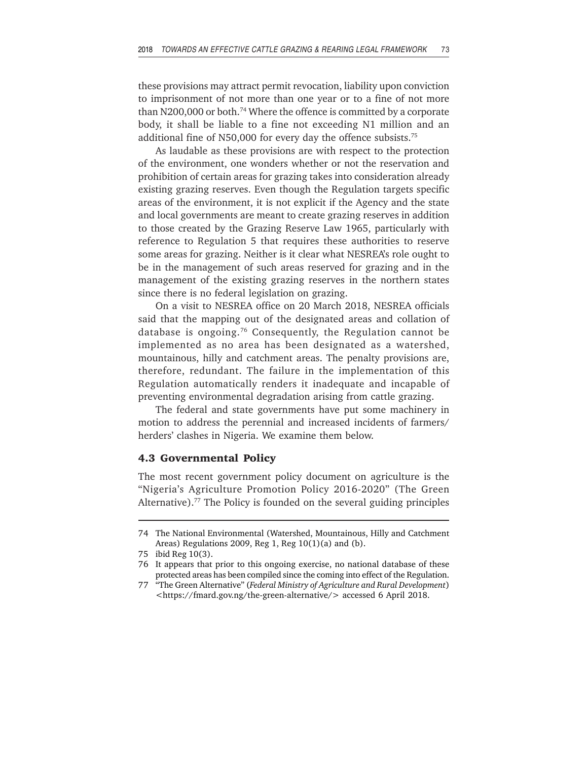these provisions may attract permit revocation, liability upon conviction to imprisonment of not more than one year or to a fine of not more than N200,000 or both.74 Where the offence is committed by a corporate body, it shall be liable to a fine not exceeding N1 million and an additional fine of N50,000 for every day the offence subsists.75

As laudable as these provisions are with respect to the protection of the environment, one wonders whether or not the reservation and prohibition of certain areas for grazing takes into consideration already existing grazing reserves. Even though the Regulation targets specific areas of the environment, it is not explicit if the Agency and the state and local governments are meant to create grazing reserves in addition to those created by the Grazing Reserve Law 1965, particularly with reference to Regulation 5 that requires these authorities to reserve some areas for grazing. Neither is it clear what NESREA's role ought to be in the management of such areas reserved for grazing and in the management of the existing grazing reserves in the northern states since there is no federal legislation on grazing.

On a visit to NESREA office on 20 March 2018, NESREA officials said that the mapping out of the designated areas and collation of database is ongoing.76 Consequently, the Regulation cannot be implemented as no area has been designated as a watershed, mountainous, hilly and catchment areas. The penalty provisions are, therefore, redundant. The failure in the implementation of this Regulation automatically renders it inadequate and incapable of preventing environmental degradation arising from cattle grazing.

The federal and state governments have put some machinery in motion to address the perennial and increased incidents of farmers/ herders' clashes in Nigeria. We examine them below.

## **4.3 Governmental Policy**

The most recent government policy document on agriculture is the "Nigeria's Agriculture Promotion Policy 2016-2020" (The Green Alternative).77 The Policy is founded on the several guiding principles

<sup>74</sup> The National Environmental (Watershed, Mountainous, Hilly and Catchment Areas) Regulations 2009, Reg 1, Reg 10(1)(a) and (b).

<sup>75</sup> ibid Reg 10(3).

<sup>76</sup> It appears that prior to this ongoing exercise, no national database of these protected areas has been compiled since the coming into effect of the Regulation.

<sup>77 &</sup>quot;The Green Alternative" (*Federal Ministry of Agriculture and Rural Development*) <https://fmard.gov.ng/the-green-alternative/> accessed 6 April 2018.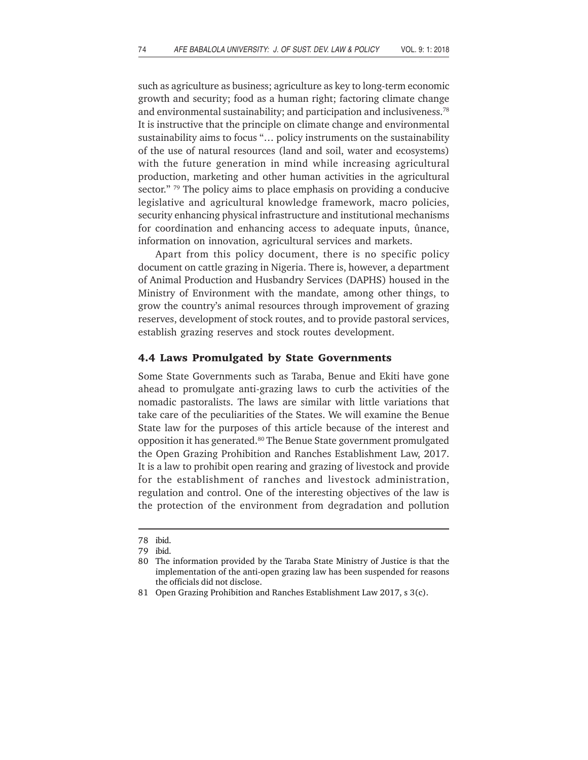such as agriculture as business; agriculture as key to long-term economic growth and security; food as a human right; factoring climate change and environmental sustainability; and participation and inclusiveness.<sup>78</sup> It is instructive that the principle on climate change and environmental sustainability aims to focus "… policy instruments on the sustainability of the use of natural resources (land and soil, water and ecosystems) with the future generation in mind while increasing agricultural production, marketing and other human activities in the agricultural sector."  $79$  The policy aims to place emphasis on providing a conducive legislative and agricultural knowledge framework, macro policies, security enhancing physical infrastructure and institutional mechanisms for coordination and enhancing access to adequate inputs, ûnance, information on innovation, agricultural services and markets.

Apart from this policy document, there is no specific policy document on cattle grazing in Nigeria. There is, however, a department of Animal Production and Husbandry Services (DAPHS) housed in the Ministry of Environment with the mandate, among other things, to grow the country's animal resources through improvement of grazing reserves, development of stock routes, and to provide pastoral services, establish grazing reserves and stock routes development.

#### **4.4 Laws Promulgated by State Governments**

Some State Governments such as Taraba, Benue and Ekiti have gone ahead to promulgate anti-grazing laws to curb the activities of the nomadic pastoralists. The laws are similar with little variations that take care of the peculiarities of the States. We will examine the Benue State law for the purposes of this article because of the interest and opposition it has generated.80 The Benue State government promulgated the Open Grazing Prohibition and Ranches Establishment Law, 2017. It is a law to prohibit open rearing and grazing of livestock and provide for the establishment of ranches and livestock administration, regulation and control. One of the interesting objectives of the law is the protection of the environment from degradation and pollution

<sup>78</sup> ibid.

<sup>79</sup> ibid.

<sup>80</sup> The information provided by the Taraba State Ministry of Justice is that the implementation of the anti-open grazing law has been suspended for reasons the officials did not disclose.

<sup>81</sup> Open Grazing Prohibition and Ranches Establishment Law 2017, s 3(c).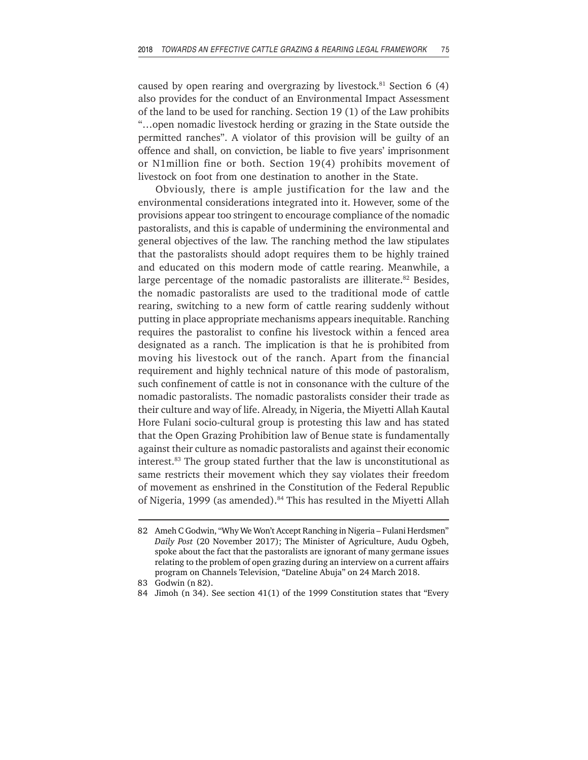caused by open rearing and overgrazing by livestock.<sup>81</sup> Section  $6(4)$ also provides for the conduct of an Environmental Impact Assessment of the land to be used for ranching. Section 19 (1) of the Law prohibits "…open nomadic livestock herding or grazing in the State outside the permitted ranches". A violator of this provision will be guilty of an offence and shall, on conviction, be liable to five years' imprisonment or N1million fine or both. Section 19(4) prohibits movement of livestock on foot from one destination to another in the State.

Obviously, there is ample justification for the law and the environmental considerations integrated into it. However, some of the provisions appear too stringent to encourage compliance of the nomadic pastoralists, and this is capable of undermining the environmental and general objectives of the law. The ranching method the law stipulates that the pastoralists should adopt requires them to be highly trained and educated on this modern mode of cattle rearing. Meanwhile, a large percentage of the nomadic pastoralists are illiterate.<sup>82</sup> Besides, the nomadic pastoralists are used to the traditional mode of cattle rearing, switching to a new form of cattle rearing suddenly without putting in place appropriate mechanisms appears inequitable. Ranching requires the pastoralist to confine his livestock within a fenced area designated as a ranch. The implication is that he is prohibited from moving his livestock out of the ranch. Apart from the financial requirement and highly technical nature of this mode of pastoralism, such confinement of cattle is not in consonance with the culture of the nomadic pastoralists. The nomadic pastoralists consider their trade as their culture and way of life. Already, in Nigeria, the Miyetti Allah Kautal Hore Fulani socio-cultural group is protesting this law and has stated that the Open Grazing Prohibition law of Benue state is fundamentally against their culture as nomadic pastoralists and against their economic interest.83 The group stated further that the law is unconstitutional as same restricts their movement which they say violates their freedom of movement as enshrined in the Constitution of the Federal Republic of Nigeria, 1999 (as amended).<sup>84</sup> This has resulted in the Miyetti Allah

<sup>82</sup> Ameh C Godwin, "Why We Won't Accept Ranching in Nigeria – Fulani Herdsmen" *Daily Post* (20 November 2017); The Minister of Agriculture, Audu Ogbeh, spoke about the fact that the pastoralists are ignorant of many germane issues relating to the problem of open grazing during an interview on a current affairs program on Channels Television, "Dateline Abuja" on 24 March 2018.

<sup>83</sup> Godwin (n 82).

<sup>84</sup> Jimoh (n 34). See section 41(1) of the 1999 Constitution states that "Every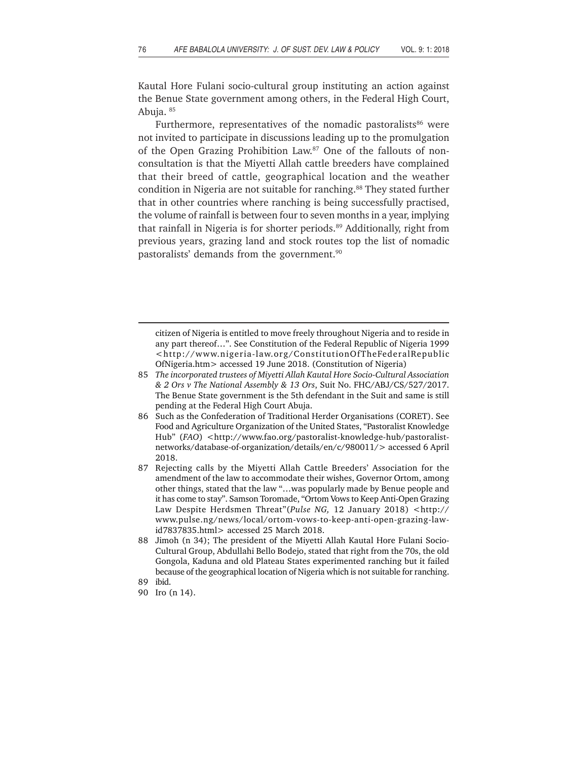Kautal Hore Fulani socio-cultural group instituting an action against the Benue State government among others, in the Federal High Court, Abuja. 85

Furthermore, representatives of the nomadic pastoralists<sup>86</sup> were not invited to participate in discussions leading up to the promulgation of the Open Grazing Prohibition Law.87 One of the fallouts of nonconsultation is that the Miyetti Allah cattle breeders have complained that their breed of cattle, geographical location and the weather condition in Nigeria are not suitable for ranching.<sup>88</sup> They stated further that in other countries where ranching is being successfully practised, the volume of rainfall is between four to seven months in a year, implying that rainfall in Nigeria is for shorter periods.<sup>89</sup> Additionally, right from previous years, grazing land and stock routes top the list of nomadic pastoralists' demands from the government.<sup>90</sup>

- 85 *The incorporated trustees of Miyetti Allah Kautal Hore Socio-Cultural Association & 2 Ors v The National Assembly & 13 Ors*, Suit No. FHC/ABJ/CS/527/2017. The Benue State government is the 5th defendant in the Suit and same is still pending at the Federal High Court Abuja.
- 86 Such as the Confederation of Traditional Herder Organisations (CORET). See Food and Agriculture Organization of the United States, "Pastoralist Knowledge Hub" (*FAO*) <http://www.fao.org/pastoralist-knowledge-hub/pastoralistnetworks/database-of-organization/details/en/c/980011/> accessed 6 April 2018.
- 87 Rejecting calls by the Miyetti Allah Cattle Breeders' Association for the amendment of the law to accommodate their wishes, Governor Ortom, among other things, stated that the law "…was popularly made by Benue people and it has come to stay". Samson Toromade, "Ortom Vows to Keep Anti-Open Grazing Law Despite Herdsmen Threat"(*Pulse NG,* 12 January 2018) <http:// www.pulse.ng/news/local/ortom-vows-to-keep-anti-open-grazing-lawid7837835.html> accessed 25 March 2018.
- 88 Jimoh (n 34); The president of the Miyetti Allah Kautal Hore Fulani Socio-Cultural Group, Abdullahi Bello Bodejo, stated that right from the 70s, the old Gongola, Kaduna and old Plateau States experimented ranching but it failed because of the geographical location of Nigeria which is not suitable for ranching.

citizen of Nigeria is entitled to move freely throughout Nigeria and to reside in any part thereof…". See Constitution of the Federal Republic of Nigeria 1999 <http://www.nigeria-law.org/ConstitutionOfTheFederalRepublic OfNigeria.htm> accessed 19 June 2018. (Constitution of Nigeria)

<sup>89</sup> ibid.

<sup>90</sup> Iro (n 14).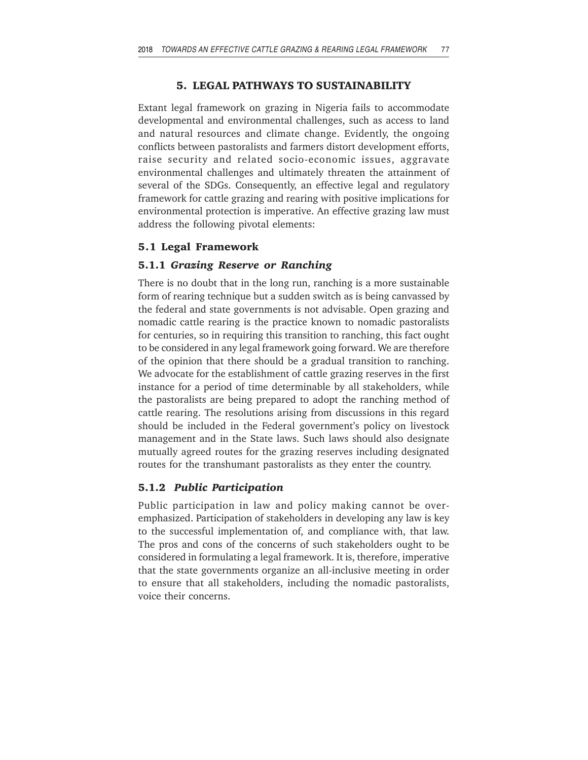### **5. LEGAL PATHWAYS TO SUSTAINABILITY**

Extant legal framework on grazing in Nigeria fails to accommodate developmental and environmental challenges, such as access to land and natural resources and climate change. Evidently, the ongoing conflicts between pastoralists and farmers distort development efforts, raise security and related socio-economic issues, aggravate environmental challenges and ultimately threaten the attainment of several of the SDGs. Consequently, an effective legal and regulatory framework for cattle grazing and rearing with positive implications for environmental protection is imperative. An effective grazing law must address the following pivotal elements:

## **5.1 Legal Framework**

### **5.1.1** *Grazing Reserve or Ranching*

There is no doubt that in the long run, ranching is a more sustainable form of rearing technique but a sudden switch as is being canvassed by the federal and state governments is not advisable. Open grazing and nomadic cattle rearing is the practice known to nomadic pastoralists for centuries, so in requiring this transition to ranching, this fact ought to be considered in any legal framework going forward. We are therefore of the opinion that there should be a gradual transition to ranching. We advocate for the establishment of cattle grazing reserves in the first instance for a period of time determinable by all stakeholders, while the pastoralists are being prepared to adopt the ranching method of cattle rearing. The resolutions arising from discussions in this regard should be included in the Federal government's policy on livestock management and in the State laws. Such laws should also designate mutually agreed routes for the grazing reserves including designated routes for the transhumant pastoralists as they enter the country.

## **5.1.2** *Public Participation*

Public participation in law and policy making cannot be overemphasized. Participation of stakeholders in developing any law is key to the successful implementation of, and compliance with, that law. The pros and cons of the concerns of such stakeholders ought to be considered in formulating a legal framework. It is, therefore, imperative that the state governments organize an all-inclusive meeting in order to ensure that all stakeholders, including the nomadic pastoralists, voice their concerns.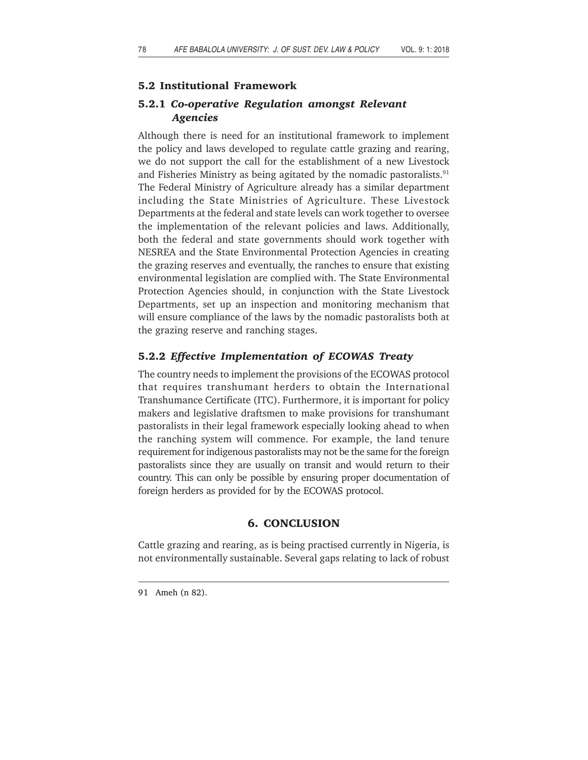## **5.2 Institutional Framework**

## **5.2.1** *Co-operative Regulation amongst Relevant Agencies*

Although there is need for an institutional framework to implement the policy and laws developed to regulate cattle grazing and rearing, we do not support the call for the establishment of a new Livestock and Fisheries Ministry as being agitated by the nomadic pastoralists. $91$ The Federal Ministry of Agriculture already has a similar department including the State Ministries of Agriculture. These Livestock Departments at the federal and state levels can work together to oversee the implementation of the relevant policies and laws. Additionally, both the federal and state governments should work together with NESREA and the State Environmental Protection Agencies in creating the grazing reserves and eventually, the ranches to ensure that existing environmental legislation are complied with. The State Environmental Protection Agencies should, in conjunction with the State Livestock Departments, set up an inspection and monitoring mechanism that will ensure compliance of the laws by the nomadic pastoralists both at the grazing reserve and ranching stages.

## **5.2.2** *Effective Implementation of ECOWAS Treaty*

The country needs to implement the provisions of the ECOWAS protocol that requires transhumant herders to obtain the International Transhumance Certificate (ITC). Furthermore, it is important for policy makers and legislative draftsmen to make provisions for transhumant pastoralists in their legal framework especially looking ahead to when the ranching system will commence. For example, the land tenure requirement for indigenous pastoralists may not be the same for the foreign pastoralists since they are usually on transit and would return to their country. This can only be possible by ensuring proper documentation of foreign herders as provided for by the ECOWAS protocol.

## **6. CONCLUSION**

Cattle grazing and rearing, as is being practised currently in Nigeria, is not environmentally sustainable. Several gaps relating to lack of robust

<sup>91</sup> Ameh (n 82).